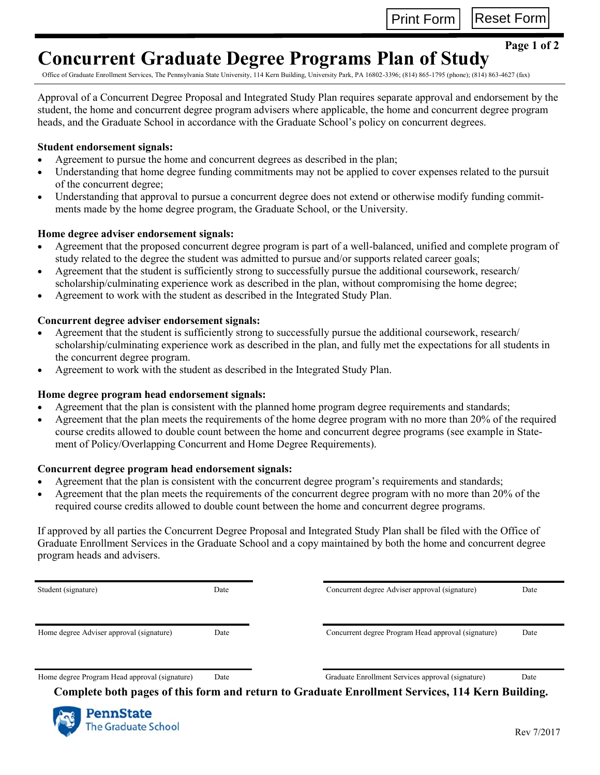Print Form | Reset Form

## **Concurrent Graduate Degree Programs Plan of Study**

**Page 1 of 2**

Office of Graduate Enrollment Services, The Pennsylvania State University, 114 Kern Building, University Park, PA 16802-3396; (814) 865-1795 (phone); (814) 863-4627 (fax)

Approval of a Concurrent Degree Proposal and Integrated Study Plan requires separate approval and endorsement by the student, the home and concurrent degree program advisers where applicable, the home and concurrent degree program heads, and the Graduate School in accordance with the Graduate School's policy on concurrent degrees.

### **Student endorsement signals:**

- Agreement to pursue the home and concurrent degrees as described in the plan;
- Understanding that home degree funding commitments may not be applied to cover expenses related to the pursuit of the concurrent degree;
- Understanding that approval to pursue a concurrent degree does not extend or otherwise modify funding commitments made by the home degree program, the Graduate School, or the University.

#### **Home degree adviser endorsement signals:**

- Agreement that the proposed concurrent degree program is part of a well-balanced, unified and complete program of study related to the degree the student was admitted to pursue and/or supports related career goals;
- Agreement that the student is sufficiently strong to successfully pursue the additional coursework, research/ scholarship/culminating experience work as described in the plan, without compromising the home degree;
- Agreement to work with the student as described in the Integrated Study Plan.

#### **Concurrent degree adviser endorsement signals:**

- Agreement that the student is sufficiently strong to successfully pursue the additional coursework, research/ scholarship/culminating experience work as described in the plan, and fully met the expectations for all students in the concurrent degree program.
- Agreement to work with the student as described in the Integrated Study Plan.

#### **Home degree program head endorsement signals:**

- Agreement that the plan is consistent with the planned home program degree requirements and standards;
- Agreement that the plan meets the requirements of the home degree program with no more than 20% of the required course credits allowed to double count between the home and concurrent degree programs (see example in Statement of Policy/Overlapping Concurrent and Home Degree Requirements).

#### **Concurrent degree program head endorsement signals:**

- Agreement that the plan is consistent with the concurrent degree program's requirements and standards;
- Agreement that the plan meets the requirements of the concurrent degree program with no more than 20% of the required course credits allowed to double count between the home and concurrent degree programs.

If approved by all parties the Concurrent Degree Proposal and Integrated Study Plan shall be filed with the Office of Graduate Enrollment Services in the Graduate School and a copy maintained by both the home and concurrent degree program heads and advisers.

Student (signature) Date

Concurrent degree Adviser approval (signature) Date

Home degree Adviser approval (signature) Date

Concurrent degree Program Head approval (signature) Date

Home degree Program Head approval (signature) Date

Graduate Enrollment Services approval (signature) Date

 **Complete both pages of this form and return to Graduate Enrollment Services, 114 Kern Building.**